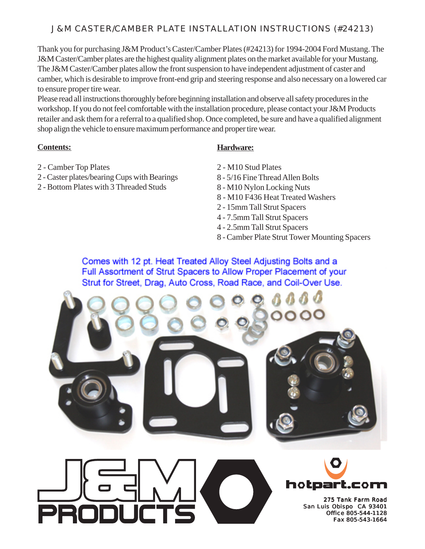## J&M CASTER/CAMBER PLATE INSTALLATION INSTRUCTIONS (#24213)

Thank you for purchasing J&M Product's Caster/Camber Plates (#24213) for 1994-2004 Ford Mustang. The J&M Caster/Camber plates are the highest quality alignment plates on the market available for your Mustang. The J&M Caster/Camber plates allow the front suspension to have independent adjustment of caster and camber, which is desirable to improve front-end grip and steering response and also necessary on a lowered car to ensure proper tire wear.

Please read all instructions thoroughly before beginning installation and observe all safety procedures in the workshop. If you do not feel comfortable with the installation procedure, please contact your J&M Products retailer and ask them for a referral to a qualified shop. Once completed, be sure and have a qualified alignment shop align the vehicle to ensure maximum performance and proper tire wear.

## **Contents:**

- 2 Camber Top Plates
- 2 Caster plates/bearing Cups with Bearings
- 2 Bottom Plates with 3 Threaded Studs

## **Hardware:**

- 2 M10 Stud Plates
- 8 5/16 Fine Thread Allen Bolts
- 8 M10 Nylon Locking Nuts
- 8 M10 F436 Heat Treated Washers
- 2 15mm Tall Strut Spacers
- 4 7.5mm Tall Strut Spacers
- 4 2.5mm Tall Strut Spacers
- 8 Camber Plate Strut Tower Mounting Spacers

Comes with 12 pt. Heat Treated Alloy Steel Adjusting Bolts and a Full Assortment of Strut Spacers to Allow Proper Placement of your Strut for Street, Drag, Auto Cross, Road Race, and Coil-Over Use.



275 Tank Farm Road San Luis Obispo CA 93401 Office 805-544-1128 Fax 805-543-1664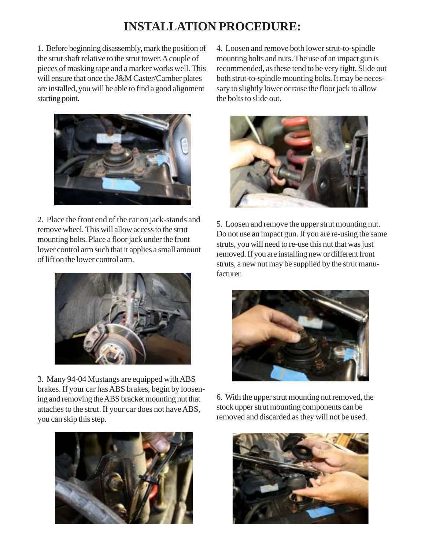## **INSTALLATION PROCEDURE:**

1. Before beginning disassembly, mark the position of the strut shaft relative to the strut tower. A couple of pieces of masking tape and a marker works well. This will ensure that once the J&M Caster/Camber plates are installed, you will be able to find a good alignment starting point.



2. Place the front end of the car on jack-stands and remove wheel. This will allow access to the strut mounting bolts. Place a floor jack under the front lower control arm such that it applies a small amount of lift on the lower control arm.



3. Many 94-04 Mustangs are equipped with ABS brakes. If your car has ABS brakes, begin by loosening and removing the ABS bracket mounting nut that attaches to the strut. If your car does not have ABS, you can skip this step.



4. Loosen and remove both lower strut-to-spindle mounting bolts and nuts. The use of an impact gun is recommended, as these tend to be very tight. Slide out both strut-to-spindle mounting bolts. It may be necessary to slightly lower or raise the floor jack to allow the bolts to slide out.



5. Loosen and remove the upper strut mounting nut. Do not use an impact gun. If you are re-using the same struts, you will need to re-use this nut that was just removed. If you are installing new or different front struts, a new nut may be supplied by the strut manufacturer.



6. With the upper strut mounting nut removed, the stock upper strut mounting components can be removed and discarded as they will not be used.

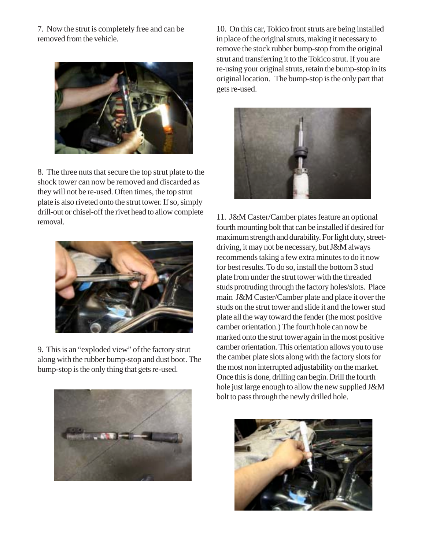7. Now the strut is completely free and can be removed from the vehicle.



8. The three nuts that secure the top strut plate to the shock tower can now be removed and discarded as they will not be re-used. Often times, the top strut plate is also riveted onto the strut tower. If so, simply drill-out or chisel-off the rivet head to allow complete removal.



9. This is an "exploded view" of the factory strut along with the rubber bump-stop and dust boot. The bump-stop is the only thing that gets re-used.



10. On this car, Tokico front struts are being installed in place of the original struts, making it necessary to remove the stock rubber bump-stop from the original strut and transferring it to the Tokico strut. If you are re-using your original struts, retain the bump-stop in its original location. The bump-stop is the only part that gets re-used.



11. J&M Caster/Camber plates feature an optional fourth mounting bolt that can be installed if desired for maximum strength and durability. For light duty, streetdriving, it may not be necessary, but J&M always recommends taking a few extra minutes to do it now for best results. To do so, install the bottom 3 stud plate from under the strut tower with the threaded studs protruding through the factory holes/slots. Place main J&M Caster/Camber plate and place it over the studs on the strut tower and slide it and the lower stud plate all the way toward the fender (the most positive camber orientation.) The fourth hole can now be marked onto the strut tower again in the most positive camber orientation. This orientation allows you to use the camber plate slots along with the factory slots for the most non interrupted adjustability on the market. Once this is done, drilling can begin. Drill the fourth hole just large enough to allow the new supplied J&M bolt to pass through the newly drilled hole.

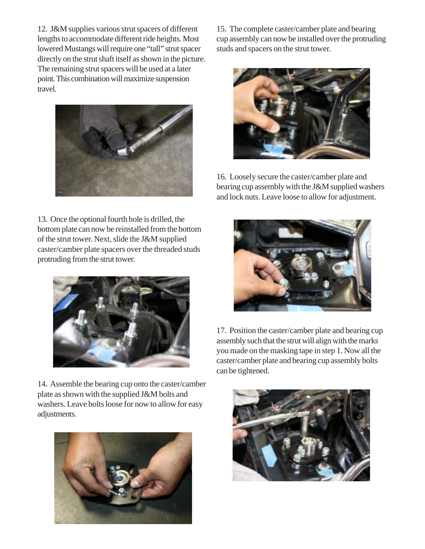12. J&M supplies various strut spacers of different lengths to accommodate different ride heights. Most lowered Mustangs will require one "tall" strut spacer directly on the strut shaft itself as shown in the picture. The remaining strut spacers will be used at a later point. This combination will maximize suspension travel.



13. Once the optional fourth hole is drilled, the bottom plate can now be reinstalled from the bottom of the strut tower. Next, slide the J&M supplied caster/camber plate spacers over the threaded studs protruding from the strut tower.



14. Assemble the bearing cup onto the caster/camber plate as shown with the supplied J&M bolts and washers. Leave bolts loose for now to allow for easy adjustments.



15. The complete caster/camber plate and bearing cup assembly can now be installed over the protruding studs and spacers on the strut tower.



16. Loosely secure the caster/camber plate and bearing cup assembly with the J&M supplied washers and lock nuts. Leave loose to allow for adjustment.



17. Position the caster/camber plate and bearing cup assembly such that the strut will align with the marks you made on the masking tape in step 1. Now all the caster/camber plate and bearing cup assembly bolts can be tightened.